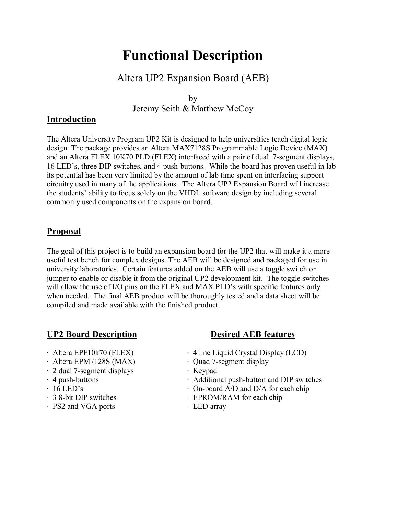# **Functional Description**

## Altera UP2 Expansion Board (AEB)

by Jeremy Seith & Matthew McCoy

### **Introduction**

The Altera University Program UP2 Kit is designed to help universities teach digital logic design. The package provides an Altera MAX7128S Programmable Logic Device (MAX) and an Altera FLEX 10K70 PLD (FLEX) interfaced with a pair of dual 7-segment displays, 16 LED's, three DIP switches, and 4 push-buttons. While the board has proven useful in lab its potential has been very limited by the amount of lab time spent on interfacing support circuitry used in many of the applications. The Altera UP2 Expansion Board will increase the students' ability to focus solely on the VHDL software design by including several commonly used components on the expansion board.

#### **Proposal**

The goal of this project is to build an expansion board for the UP2 that will make it a more useful test bench for complex designs. The AEB will be designed and packaged for use in university laboratories. Certain features added on the AEB will use a toggle switch or jumper to enable or disable it from the original UP2 development kit. The toggle switches will allow the use of I/O pins on the FLEX and MAX PLD's with specific features only when needed. The final AEB product will be thoroughly tested and a data sheet will be compiled and made available with the finished product.

### **UP2 Board Description Desired AEB features**

- 
- Altera EPM7128S (MAX) **·** Quad 7-segment display
- · 2 dual 7-segment displays · Keypad
- 
- 
- 
- PS2 and VGA ports **· LED array**

- · Altera EPF10k70 (FLEX) · 4 line Liquid Crystal Display (LCD)
	-
	-
- · 4 push-buttons · Additional push-button and DIP switches
- $\cdot$  16 LED's  $\cdot$  On-board A/D and D/A for each chip
- · 3 8-bit DIP switches · EPROM/RAM for each chip
	-